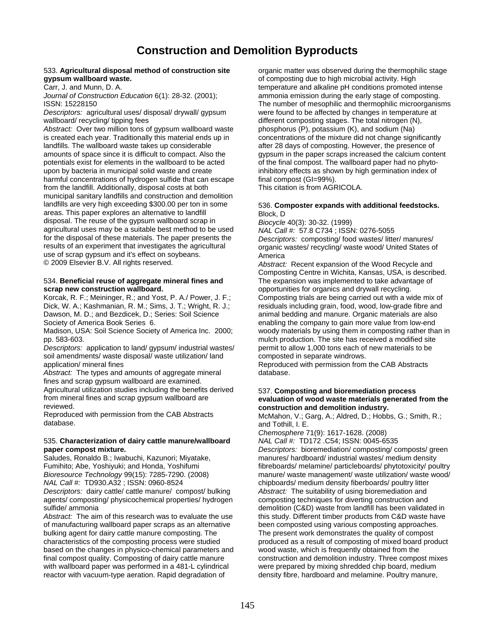## **Construction and Demolition Byproducts**

## **gypsum wallboard waste. of composting due to high microbial activity. High microbial activity. High microbial activity. High microbial activity. High microbial activity. High microbial activity. High microbial activity.**

*Abstract:* Over two million tons of gypsum wallboard waste phosphorus (P), potassium (K), and sodium (Na) is created each year. Traditionally this material ends up in concentrations of the mixture did not change significa is created each year. Traditionally this material ends up in landfills. The wallboard waste takes up considerable amounts of space since it is difficult to compact. Also the gypsum in the paper scraps increased the calcium content potentials exist for elements in the wallboard to be acted of the final compost. The wallboard paper had no phytoupon by bacteria in municipal solid waste and create inhibitory effects as shown by high germination index of harmful concentrations of hydrogen sulfide that can escape final compost (GI=99%). from the landfill. Additionally, disposal costs at both This citation is from AGRICOLA. municipal sanitary landfills and construction and demolition landfills are very high exceeding \$300.00 per ton in some 536. **Composter expands with additional feedstocks.** areas. This paper explores an alternative to landfill<br>disposal. The reuse of the gypsum wallboard scrap in Biocycle 40(3): 30-32. (1999) disposal. The reuse of the gypsum wallboard scrap in *Biocycle* 40(3): 30-32. (1999) agricultural uses may be a suitable best method to be used for the disposal of these materials. The paper presents the for the disposal of these materials. The paper presents the *Descriptors:* composting/ food wastes/ litter/ manures/ use of scrap gypsum and it's effect on soybeans.<br>
© 2009 Elsevier B.V. All rights reserved. Abstract Abstract

## 534. Beneficial reuse of aggregate mineral fines and

Korcak, R. F.; Meininger, R.; and Yost, P. A./ Power, J. F.; Composting trials are being carried out with a wide mix of Dick, W. A.; Kashmanian, R. M.; Sims, J. T.; Wright, R. J.; residuals including grain, food, wood, low Dick, W. A.; Kashmanian, R. M.; Sims, J. T.; Wright, R. J.; Dawson, M. D.; and Bezdicek, D.; Series: Soil Science animal bedding and manure. Organic materials are also Society of America Book Series 6. enabling the company to gain more value from low-end

Madison, USA: Soil Science Society of America Inc. 2000; woody materials by using them in composting rather than in pp. 583-603. mulch production. The site has received a modified site

*Descriptors:* application to land/ gypsum/ industrial wastes/ permit to allow 1,000 tons each of new materials to be soil amendments/ waste disposal/ waste utilization/ land composted in separate windrows. application/ mineral fines **Reproduced with permission from the CAB Abstracts** Reproduced with permission from the CAB Abstracts

Abstract: The types and amounts of aggregate mineral database. fines and scrap gypsum wallboard are examined. Agricultural utilization studies including the benefits derived 537. **Composting and bioremediation process from mineral fines and scrap gypsum wallboard are evaluation of wood waste materials generated** 

reviewed. **construction and demolition industry.** 

## 535. **Characterization of dairy cattle manure/wallboard** *NAL Call #:* TD172 .C54; ISSN: 0045-6535

Saludes, Ronaldo B.; Iwabuchi, Kazunori; Miyatake, manures/ hardboard/ industrial wastes/ medium density<br>Fumihito; Abe, Yoshiyuki; and Honda, Yoshifumi fibreboards/ melamine/ particleboards/ phytotoxicity/ por *NAL Call #:* TD930.A32 ; ISSN: 0960-8524 chipboards/ medium density fiberboards/ poultry litter *Descriptors:* dairy cattle/ cattle manure/ compost/ bulking *Abstract:* The suitability of using bioremediation and agents/ composting/ physicochemical properties/ hydrogen composting techniques for diverting construction agents/ composting/ physicochemical properties/ hydrogen sulfide/ ammonia demolition (C&D) waste from landfill has been validated in

of manufacturing wallboard paper scraps as an alternative been composted using various composting approaches. bulking agent for dairy cattle manure composting. The The The present work demonstrates the quality of compost characteristics of the composting process were studied produced as a result of composting of mixed board product<br>based on the changes in physico-chemical parameters and wood waste, which is frequently obtained from the based on the changes in physico-chemical parameters and final compost quality. Composting of dairy cattle manure construction and demolition industry. Three compost mixes with wallboard paper was performed in a 481-L cylindrical were prepared by mixing shredded chip board, medium reactor with vacuum-type aeration. Rapid degradation of density fibre, hardboard and melamine. Poultry manure,

533. **Agricultural disposal method of construction site** organic matter was observed during the thermophilic stage Carr, J. and Munn, D. A. temperature and alkaline pH conditions promoted intense *Journal of Construction Education* 6(1): 28-32. (2001); ammonia emission during the early stage of composting. ISSN: 15228150 The number of mesophilic and thermophilic microorganisms *Descriptors:* agricultural uses/ disposal/ drywall/ gypsum were found to be affected by changes in temperature at wallboard/ recycling/ tipping fees different composting stages. The total nitrogen (N),<br>
Abstract: Over two million tons of gypsum wallboard waste phosphorus (P), potassium (K), and sodium (Na) after 28 days of composting. However, the presence of

organic wastes/ recycling/ waste wood/ United States of

Abstract: Recent expansion of the Wood Recycle and Composting Centre in Wichita, Kansas, USA, is described. **scrap new construction wallboard. butter of the comportunities for organics and drywall recycling. Construction wallboard. Construction Systems Construction Walls and Systems Construction Construction Construction C** 

# from mineral fines and scrap gypsum wallboard are **evaluation of wood waste materials generated from the**

Reproduced with permission from the CAB Abstracts McMahon, V.; Garg, A.; Aldred, D.; Hobbs, G.; Smith, R.; database. and Tothill, I. E.

*Chemosphere* 71(9): 1617-1628. (2008)

**paper compost mixture.**<br> **Pescriptors:** bioremediation/ composting/ composts/ green<br> **Saludes, Ronaldo B.; Iwabuchi, Kazunori; Miyatake, metally manures/ hardboard/ industrial wastes/ medium density** fibreboards/ melamine/ particleboards/ phytotoxicity/ poultry *Bioresource Technology* 99(15): 7285-7290. (2008) manure/ waste management/ waste utilization/ waste wood/ Abstract: The aim of this research was to evaluate the use this study. Different timber products from C&D waste have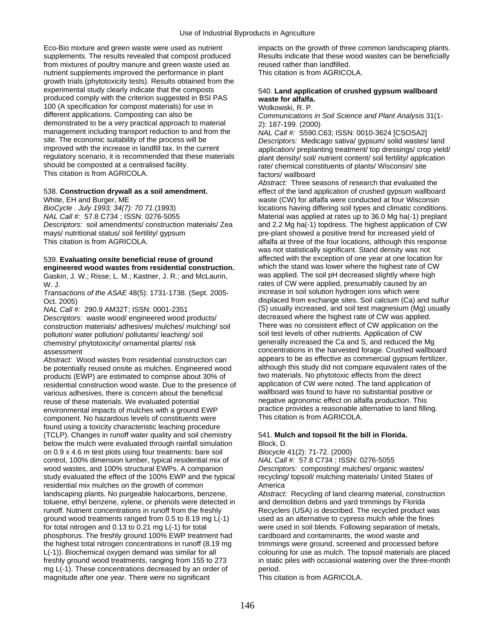Eco-Bio mixture and green waste were used as nutrient impacts on the growth of three common landscaping plants. supplements. The results revealed that compost produced Results indicate that these wood wastes can be beneficially from mixtures of poultry manure and green waste used as reused rather than landfilled. nutrient supplements improved the performance in plant This citation is from AGRICOLA. growth trials (phytotoxicity tests). Results obtained from the experimental study clearly indicate that the composts 540. **Land application of crushed gypsum wallboard**  produced comply with the criterion suggested in BSI PAS **waste for alfalfa.**<br>100 (A specification for compost materials) for use in Wolkowski, R. P. 100 (A specification for compost materials) for use in different applications. Composting can also be demonstrated to be a very practical approach to material  $2$ : 187-199. (2000)<br>management including transport reduction to and from the  $NAI$  Call #: S590 ( management including transport reduction to and from the *NAL Call #:* S590.C63; ISSN: 0010-3624 [CSOSA2]<br>site. The economic suitability of the process will be *Descriptors: Medicago satival gypsum/ solid wastes* site. The economic suitability of the process will be *Descriptors:* Medicago sativa/ gypsum/ solid wastes/ land regulatory scenario, it is recommended that these materials plant density/ soil/ nutrient content/ soil fertility/ application<br>should be composted at a centralised facility. rate/ chemical constituents of plants/ Wisconsin This citation is from AGRICOLA. This citation is from AGRICOLA.

mays/ nutritional status/ soil fertility/ gypsum pre-plant showed a positive trend for increased yield of<br>This citation is from AGRICOLA.<br> **This citation is from AGRICOLA.** 

Gaskin, J. W.; Risse, L. M.; Kastner, J. R.; and McLaurin,

*Transactions of the ASAE* 48(5): 1731-1738. (Sept. 2005-<br>Oct. 2005)

*Descriptors:* waste wood/ engineered wood products/ decreased where the highest rate of CW was applied. construction materials/ adhesives/ mulches/ mulching/ soil pollution/ water pollution/ pollutants/ leaching/ soil soil test levels of other nutrients. Application of CW chemistry/ phytotoxicity/ ornamental plants/ risk generally increased the Ca and S, and reduced the Mg

*Abstract:* Wood wastes from residential construction can appears to be as effective as commercial gypsum fertilizer,<br>he potentially reused onsite as mulches. Engineered wood although this study did not compare equivalent be potentially reused onsite as mulches. Engineered wood although this study did not compare equivalent rate<br>broducts (EWP) are estimated to comprise about 30% of the two materials. No phytotoxic effects from the direct products (EWP) are estimated to comprise about 30% of two materials. No phytotoxic effects from the direct<br>
residential construction wood waste. Due to the presence of application of CW were noted. The land application of residential construction wood waste. Due to the presence of application of CW were noted. The land application of<br>various adhesives there is concern about the beneficial wallboard was found to have no substantial positive various adhesives, there is concern about the beneficial reuse of these materials. We evaluated potential negative agronomic effect on alfalfa production. This environmental impacts of mulches with a ground EWP practice provides a reasonable alternative to land filling.<br>
component No hazardous levels of constituents were This citation is from AGRICOLA. component. No hazardous levels of constituents were found using a toxicity characteristic leaching procedure (TCLP). Changes in runoff water quality and soil chemistry 541. **Mulch and topsoil fit the bill in Florida.**  below the mulch were evaluated through rainfall simulation Block, D. on 0.9 x 4.6 m test plots using four treatments: bare soil *Biocycle* 41(2): 71-72. (2000) control, 100% dimension lumber, typical residential mix of wood wastes, and 100% structural EWPs. A companion *Descriptors: composting/ mulches/ organic wastes/* study evaluated the effect of the 100% EWP and the typical recycling/ topsoil/ mulching materials/ United States of study evaluated the effect of the 100% EWP and the typical residential mix mulches on the growth of common<br>
landscaping plants. No purgeable halocarbons, benzene, *Abstract:* toluene, ethyl benzene, xylene, or phenols were detected in runoff. Nutrient concentrations in runoff from the freshly Recyclers (USA) is described. The recycled product was ground wood treatments ranged from 0.5 to 8.19 mg L(-1) used as an alternative to cypress mulch while the fines for total nitrogen and 0.13 to 0.21 mg L(-1) for total were used in soil blends. Following separation of metals, phosphorus. The freshly ground 100% EWP treatment had cardboard and contaminants, the wood waste and the highest total nitrogen concentrations in runoff (8.19 mg trimmings were ground, screened and processed before L(-1)). Biochemical oxygen demand was similar for all colouring for use as mulch. The topsoil materials are placed freshly ground wood treatments, ranging from 155 to 273 in static piles with occasional watering over the three-month mg L(-1). These concentrations decreased by an order of period. magnitude after one year. There were no significant This citation is from AGRICOLA.

Communications in Soil Science and Plant Analysis 31(1-

application/ preplanting treatment/ top dressings/ crop yield/ rate/ chemical constituents of plants/ Wisconsin/ site

*Abstract:* Three seasons of research that evaluated the 538. **Construction drywall as a soil amendment.** effect of the land application of crushed gypsum wallboard White, EH and Burger, ME<br>BioCycle . July 1993; 34(7): 70 71.(1993) <br>locations having differing soil types and climatic condition *BioCycle . July 1993; 34(7): 70 71.*(1993) locations having differing soil types and climatic conditions.<br>
Material was applied at rates up to 36.0 Mg ha(-1) preplant *Material was applied at rates up to 36.0 Mg ha(-1) preplant Descriptors:* soil amendments/ construction materials/ Zea and 2.2 Mg ha(-1) topdress. The highest application of CW alfalfa at three of the four locations, although this response was not statistically significant. Stand density was not 539. **Evaluating onsite beneficial reuse of ground** affected with the exception of one year at one location for<br> **angineered wood wastes from residential construction** which the stand was lower where the highest rate of CW **engineered wood wastes from residential construction.** Which the stand was lower where the highest rate of CV<br>Gaskin, J. W.: Risse, L. M.: Kastner, J. R.: and McLaurin. Was applied. The soil pH decreased slightly where hi W. J.<br>Transactions of the ASAE 48(5): 1731-1738. (Sept. 2005- rates of CW were applied, presumably caused by an increase in soil solution hydrogen ions which were displaced from exchange sites. Soil calcium (Ca) and sulfur *NAL Call #:* 290.9 AM32T; ISSN: 0001-2351 (S) usually increased, and soil test magnesium (Mg) usually *Descriptors:* waste wood/engineered wood products/ decreased where the highest rate of CW was applied. assessment<br>Abstract: Wood wastes from residential construction can appears to be as effective as commercial gypsum fertilizer.

Abstract: Recycling of land clearing material, construction and demolition debris and yard trimmings by Florida